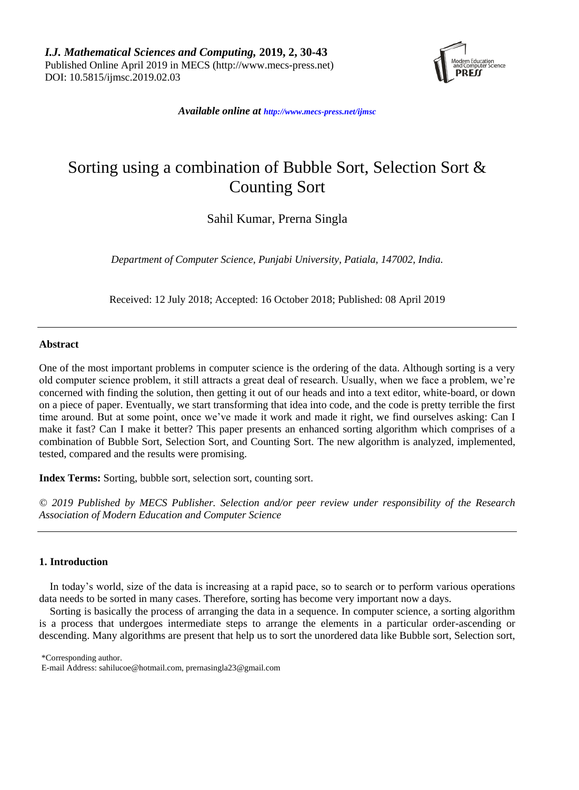

*Available online at [http://www.mecs-press.net/ijm](http://www.mecs-press.net/ijwmt)sc*

# Sorting using a combination of Bubble Sort, Selection Sort & Counting Sort

Sahil Kumar, Prerna Singla

*Department of Computer Science, Punjabi University, Patiala, 147002, India.*

Received: 12 July 2018; Accepted: 16 October 2018; Published: 08 April 2019

# **Abstract**

One of the most important problems in computer science is the ordering of the data. Although sorting is a very old computer science problem, it still attracts a great deal of research. Usually, when we face a problem, we're concerned with finding the solution, then getting it out of our heads and into a text editor, white-board, or down on a piece of paper. Eventually, we start transforming that idea into code, and the code is pretty terrible the first time around. But at some point, once we've made it work and made it right, we find ourselves asking: Can I make it fast? Can I make it better? This paper presents an enhanced sorting algorithm which comprises of a combination of Bubble Sort, Selection Sort, and Counting Sort. The new algorithm is analyzed, implemented, tested, compared and the results were promising.

**Index Terms:** Sorting, bubble sort, selection sort, counting sort.

*© 2019 Published by MECS Publisher. Selection and/or peer review under responsibility of the Research Association of Modern Education and Computer Science*

# **1. Introduction**

In today's world, size of the data is increasing at a rapid pace, so to search or to perform various operations data needs to be sorted in many cases. Therefore, sorting has become very important now a days.

Sorting is basically the process of arranging the data in a sequence. In computer science, a sorting algorithm is a process that undergoes intermediate steps to arrange the elements in a particular order-ascending or descending. Many algorithms are present that help us to sort the unordered data like Bubble sort, Selection sort,

\*Corresponding author.

E-mail Address: sahilucoe@hotmail.com, prernasingla23@gmail.com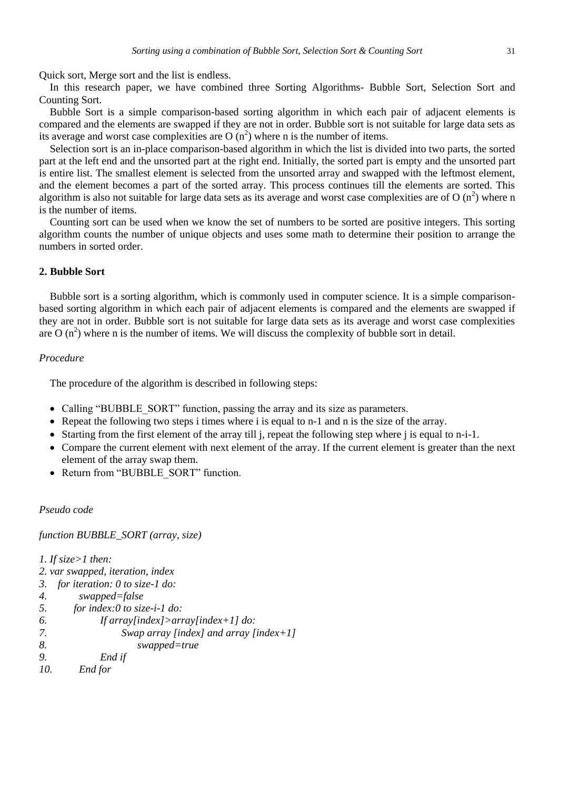Quick sort, Merge sort and the list is endless.

In this research paper, we have combined three Sorting Algorithms- Bubble Sort, Selection Sort and Counting Sort.

Bubble Sort is a simple comparison-based sorting algorithm in which each pair of adjacent elements is compared and the elements are swapped if they are not in order. Bubble sort is not suitable for large data sets as its average and worst case complexities are O  $(n^2)$  where n is the number of items.

Selection sort is an in-place comparison-based algorithm in which the list is divided into two parts, the sorted part at the left end and the unsorted part at the right end. Initially, the sorted part is empty and the unsorted part is entire list. The smallest element is selected from the unsorted array and swapped with the leftmost element, and the element becomes a part of the sorted array. This process continues till the elements are sorted. This algorithm is also not suitable for large data sets as its average and worst case complexities are of O  $(n^2)$  where n is the number of items.

Counting sort can be used when we know the set of numbers to be sorted are positive integers. This sorting algorithm counts the number of unique objects and uses some math to determine their position to arrange the numbers in sorted order.

#### **2. Bubble Sort**

Bubble sort is a sorting algorithm, which is commonly used in computer science. It is a simple comparisonbased sorting algorithm in which each pair of adjacent elements is compared and the elements are swapped if they are not in order. Bubble sort is not suitable for large data sets as its average and worst case complexities are  $O(n^2)$  where n is the number of items. We will discuss the complexity of bubble sort in detail.

# *Procedure*

The procedure of the algorithm is described in following steps:

- Calling "BUBBLE\_SORT" function, passing the array and its size as parameters.
- Repeat the following two steps i times where i is equal to n-1 and n is the size of the array.
- Starting from the first element of the array till j, repeat the following step where j is equal to n-i-1.
- Compare the current element with next element of the array. If the current element is greater than the next element of the array swap them.
- Return from "BUBBLE\_SORT" function.

# *Pseudo code*

*function BUBBLE\_SORT (array, size)*

*1. If size>1 then:*

- *2. var swapped, iteration, index*
- *3. for iteration: 0 to size-1 do:*
- *4. swapped=false*
- *5. for index:0 to size-i-1 do:*

```
6. If array[index]>array[index+1] do:
```
- *7. Swap array [index] and array [index+1]*
- *8. swapped=true*
- *9. End if*
- *10. End for*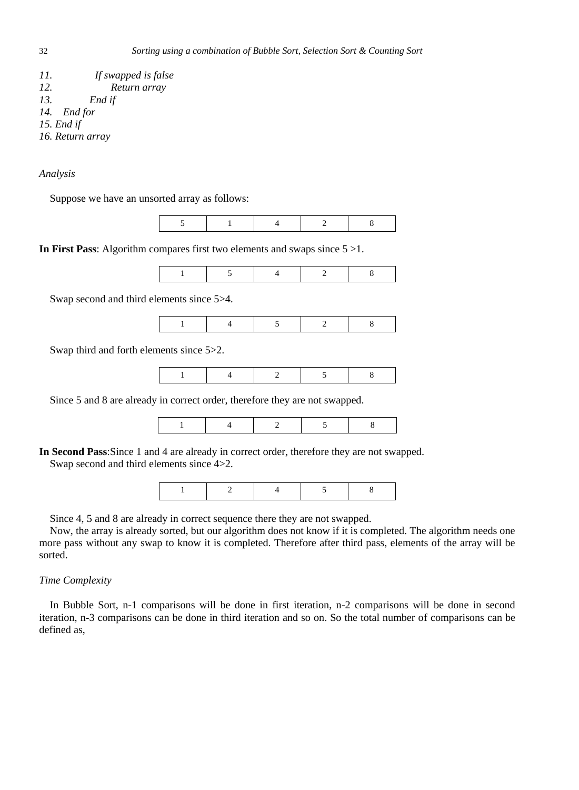| 77. | If swapped is false |
|-----|---------------------|
| 12. | Return array        |
| 13. | End if              |
|     | 14. End for         |
|     | 15. End if          |
|     | 16. Return array    |

Suppose we have an unsorted array as follows:

**In First Pass:** Algorithm compares first two elements and swaps since  $5 > 1$ .

|--|

Swap second and third elements since 5>4.

|--|

Swap third and forth elements since 5>2.

Since 5 and 8 are already in correct order, therefore they are not swapped.

|--|--|--|--|--|--|

**In Second Pass**:Since 1 and 4 are already in correct order, therefore they are not swapped. Swap second and third elements since 4>2.

|--|--|--|--|--|--|

Since 4, 5 and 8 are already in correct sequence there they are not swapped.

Now, the array is already sorted, but our algorithm does not know if it is completed. The algorithm needs one more pass without any swap to know it is completed. Therefore after third pass, elements of the array will be sorted.

# *Time Complexity*

In Bubble Sort, n-1 comparisons will be done in first iteration, n-2 comparisons will be done in second iteration, n-3 comparisons can be done in third iteration and so on. So the total number of comparisons can be defined as,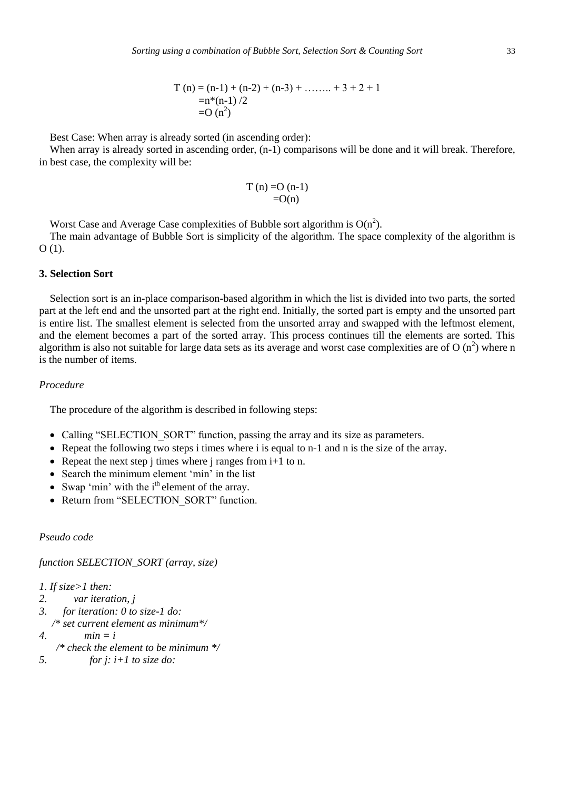Best Case: When array is already sorted (in ascending order):

When array is already sorted in ascending order,  $(n-1)$  comparisons will be done and it will break. Therefore, in best case, the complexity will be:

$$
T(n) = O(n-1)
$$
  
=O(n)

Worst Case and Average Case complexities of Bubble sort algorithm is  $O(n^2)$ .

The main advantage of Bubble Sort is simplicity of the algorithm. The space complexity of the algorithm is O (1).

# **3. Selection Sort**

Selection sort is an in-place comparison-based algorithm in which the list is divided into two parts, the sorted part at the left end and the unsorted part at the right end. Initially, the sorted part is empty and the unsorted part is entire list. The smallest element is selected from the unsorted array and swapped with the leftmost element, and the element becomes a part of the sorted array. This process continues till the elements are sorted. This algorithm is also not suitable for large data sets as its average and worst case complexities are of O  $(n^2)$  where n is the number of items.

# *Procedure*

The procedure of the algorithm is described in following steps:

- Calling "SELECTION SORT" function, passing the array and its size as parameters.
- Repeat the following two steps i times where i is equal to  $n-1$  and  $n$  is the size of the array.
- Repeat the next step j times where j ranges from  $i+1$  to n.
- Search the minimum element 'min' in the list
- Swap 'min' with the  $i<sup>th</sup>$  element of the array.
- Return from "SELECTION SORT" function.

*Pseudo code*

*function SELECTION\_SORT (array, size)*

*1. If size>1 then:*

- *2. var iteration, j*
- *3. for iteration: 0 to size-1 do: /\* set current element as minimum\*/*
- 4.  $min = i$
- */\* check the element to be minimum \*/*
- *5. for j: i+1 to size do:*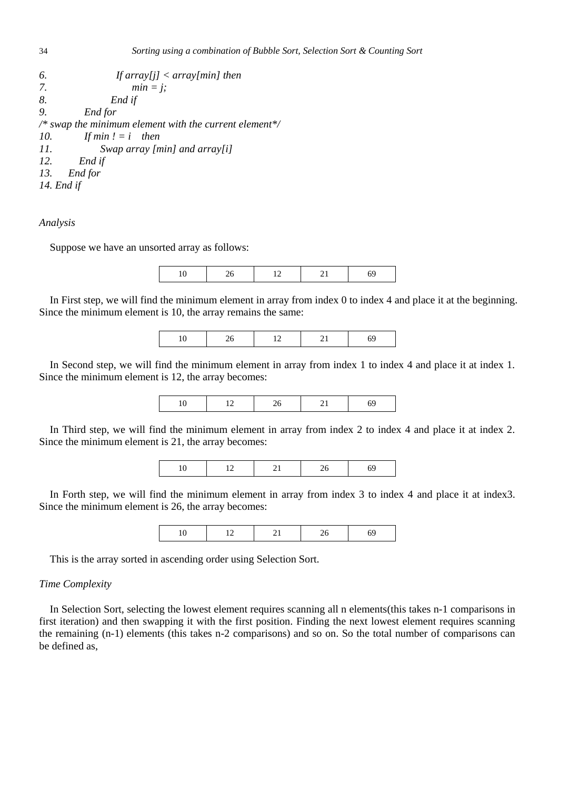```
6. If array[j] < array[min] then
7. min = j;
8. End if
9. End for
/* swap the minimum element with the current element*/
10. If min ! = i then
11. Swap array [min] and array[i]
12. End if
13. End for
14. End if
```
Suppose we have an unsorted array as follows:

In First step, we will find the minimum element in array from index 0 to index 4 and place it at the beginning. Since the minimum element is 10, the array remains the same:

| the control of the con- |
|-------------------------|
|-------------------------|

In Second step, we will find the minimum element in array from index 1 to index 4 and place it at index 1. Since the minimum element is 12, the array becomes:

In Third step, we will find the minimum element in array from index 2 to index 4 and place it at index 2. Since the minimum element is 21, the array becomes:

|  |  |  | $\sim$ |  |  |
|--|--|--|--------|--|--|
|--|--|--|--------|--|--|

In Forth step, we will find the minimum element in array from index 3 to index 4 and place it at index3. Since the minimum element is 26, the array becomes:

|--|

This is the array sorted in ascending order using Selection Sort.

#### *Time Complexity*

In Selection Sort, selecting the lowest element requires scanning all n elements(this takes n-1 comparisons in first iteration) and then swapping it with the first position. Finding the next lowest element requires scanning the remaining (n-1) elements (this takes n-2 comparisons) and so on. So the total number of comparisons can be defined as,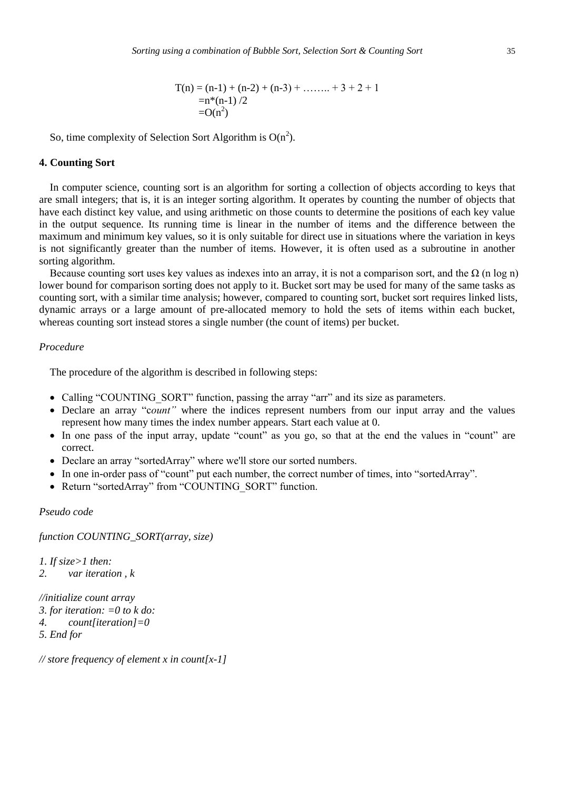$$
T(n) = (n-1) + (n-2) + (n-3) + \dots + 3 + 2 + 1
$$
  
= n\*(n-1)/2  
=O(n<sup>2</sup>)

So, time complexity of Selection Sort Algorithm is  $O(n^2)$ .

# **4. Counting Sort**

In computer science, counting sort is an algorithm for sorting a collection of objects according to keys that are small integers; that is, it is an integer sorting algorithm. It operates by counting the number of objects that have each distinct key value, and using arithmetic on those counts to determine the positions of each key value in the output sequence. Its running time is linear in the number of items and the difference between the maximum and minimum key values, so it is only suitable for direct use in situations where the variation in keys is not significantly greater than the number of items. However, it is often used as a subroutine in another sorting algorithm.

Because counting sort uses key values as indexes into an array, it is not a comparison sort, and the  $\Omega$  (n log n) lower bound for comparison sorting does not apply to it. Bucket sort may be used for many of the same tasks as counting sort, with a similar time analysis; however, compared to counting sort, bucket sort requires linked lists, dynamic arrays or a large amount of pre-allocated memory to hold the sets of items within each bucket, whereas counting sort instead stores a single number (the count of items) per bucket.

# *Procedure*

The procedure of the algorithm is described in following steps:

- Calling "COUNTING SORT" function, passing the array "arr" and its size as parameters.
- Declare an array "c*ount"* where the indices represent numbers from our input array and the values represent how many times the index number appears. Start each value at 0.
- In one pass of the input array, update "count" as you go, so that at the end the values in "count" are correct.
- Declare an array "sortedArray" where we'll store our sorted numbers.
- In one in-order pass of "count" put each number, the correct number of times, into "sortedArray".
- Return "sortedArray" from "COUNTING\_SORT" function.

# *Pseudo code*

*function COUNTING\_SORT(array, size)*

*1. If size>1 then: 2. var iteration , k //initialize count array*

```
3. for iteration: =0 to k do:
4. count[iteration]=0
```

```
5. End for
```
*// store frequency of element x in count[x-1]*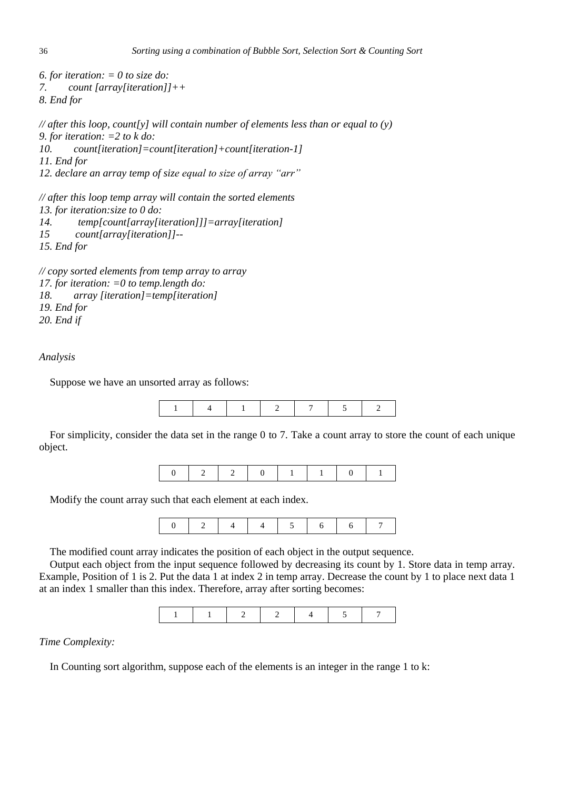```
6. for iteration: = 0 to size do:
7. count [array[iteration]]++
8. End for 
// after this loop, count[y] will contain number of elements less than or equal to (y)
9. for iteration: =2 to k do:
10. count[iteration]=count[iteration]+count[iteration-1]
11. End for
12. declare an array temp of size equal to size of array "arr"
// after this loop temp array will contain the sorted elements
13. for iteration:size to 0 do:
14. temp[count[array[iteration]]]=array[iteration]
15 count[array[iteration]]--
15. End for
```

```
// copy sorted elements from temp array to array
17. for iteration: =0 to temp.length do: 
18. array [iteration]=temp[iteration]
19. End for
20. End if
```
Suppose we have an unsorted array as follows:



For simplicity, consider the data set in the range 0 to 7. Take a count array to store the count of each unique object.

|--|--|--|--|

Modify the count array such that each element at each index.



The modified count array indicates the position of each object in the output sequence.

Output each object from the input sequence followed by decreasing its count by 1. Store data in temp array. Example, Position of 1 is 2. Put the data 1 at index 2 in temp array. Decrease the count by 1 to place next data 1 at an index 1 smaller than this index. Therefore, array after sorting becomes:



#### *Time Complexity:*

In Counting sort algorithm, suppose each of the elements is an integer in the range 1 to k: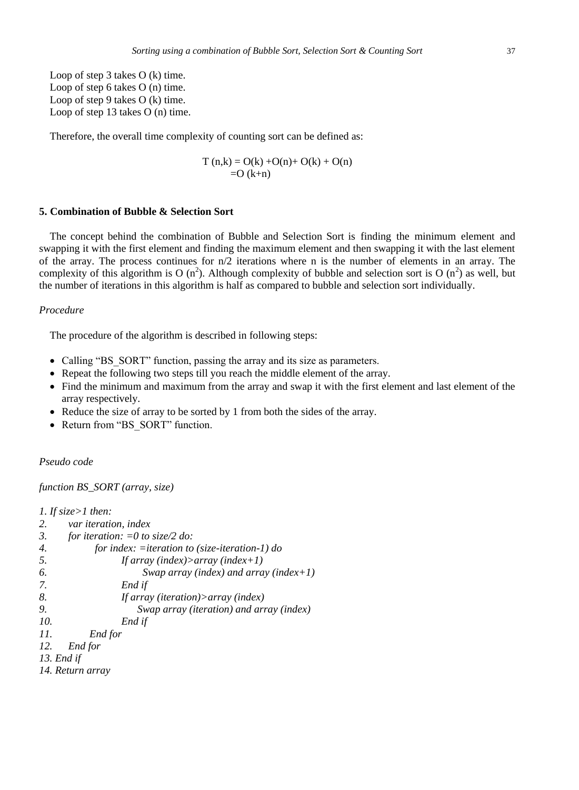Loop of step 3 takes O (k) time. Loop of step 6 takes O (n) time. Loop of step 9 takes O (k) time. Loop of step 13 takes O (n) time.

Therefore, the overall time complexity of counting sort can be defined as:

$$
T(n,k) = O(k) + O(n) + O(k) + O(n)
$$
  
= O (k+n)

# **5. Combination of Bubble & Selection Sort**

The concept behind the combination of Bubble and Selection Sort is finding the minimum element and swapping it with the first element and finding the maximum element and then swapping it with the last element of the array. The process continues for  $n/2$  iterations where n is the number of elements in an array. The complexity of this algorithm is O ( $n^2$ ). Although complexity of bubble and selection sort is O ( $n^2$ ) as well, but the number of iterations in this algorithm is half as compared to bubble and selection sort individually.

### *Procedure*

The procedure of the algorithm is described in following steps:

- Calling "BS SORT" function, passing the array and its size as parameters.
- Repeat the following two steps till you reach the middle element of the array.
- Find the minimum and maximum from the array and swap it with the first element and last element of the array respectively.
- Reduce the size of array to be sorted by 1 from both the sides of the array.
- Return from "BS\_SORT" function.

*Pseudo code*

*function BS\_SORT (array, size)*

```
1. If size>1 then:
2. var iteration, index
3. for iteration: =0 to size/2 do:
4. for index: =iteration to (size-iteration-1) do
5. If array (index)>array (index+1)
6. Swap array (index) and array (index+1)
7. End if
8. If array (iteration)>array (index)
9. Swap array (iteration) and array (index)
10. End if
11. End for
12. End for
13. End if
14. Return array
```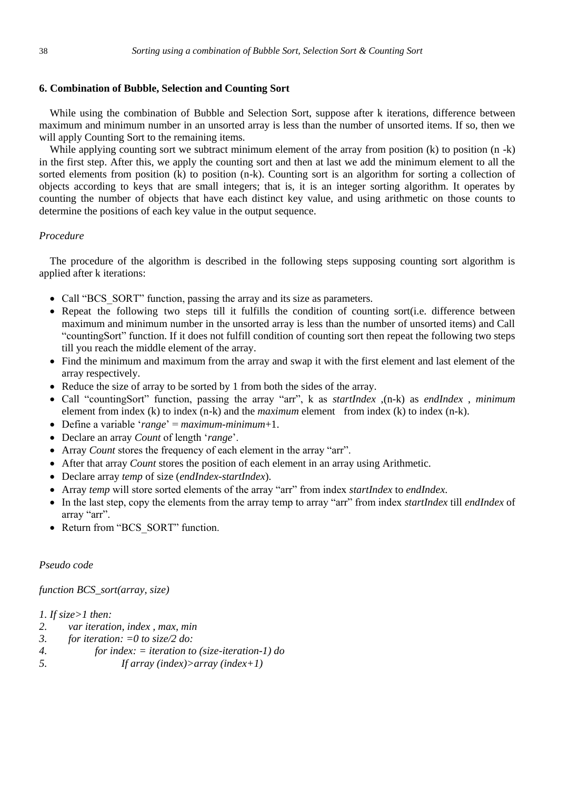# **6. Combination of Bubble, Selection and Counting Sort**

While using the combination of Bubble and Selection Sort, suppose after k iterations, difference between maximum and minimum number in an unsorted array is less than the number of unsorted items. If so, then we will apply Counting Sort to the remaining items.

While applying counting sort we subtract minimum element of the array from position (k) to position (n -k) in the first step. After this, we apply the counting sort and then at last we add the minimum element to all the sorted elements from position (k) to position (n-k). Counting sort is an algorithm for sorting a collection of objects according to keys that are small integers; that is, it is an integer sorting algorithm. It operates by counting the number of objects that have each distinct key value, and using arithmetic on those counts to determine the positions of each key value in the output sequence.

# *Procedure*

The procedure of the algorithm is described in the following steps supposing counting sort algorithm is applied after k iterations:

- Call "BCS SORT" function, passing the array and its size as parameters.
- Repeat the following two steps till it fulfills the condition of counting sort(i.e. difference between maximum and minimum number in the unsorted array is less than the number of unsorted items) and Call "countingSort" function. If it does not fulfill condition of counting sort then repeat the following two steps till you reach the middle element of the array.
- Find the minimum and maximum from the array and swap it with the first element and last element of the array respectively.
- Reduce the size of array to be sorted by 1 from both the sides of the array.
- Call "countingSort" function, passing the array "arr", k as *startIndex* ,(n-k) as *endIndex* , *minimum* element from index (k) to index (n-k) and the *maximum* element from index (k) to index (n-k).
- Define a variable '*range*' = *maximum*-*minimum*+1.
- Declare an array *Count* of length '*range*'.
- Array *Count* stores the frequency of each element in the array "arr".
- After that array *Count* stores the position of each element in an array using Arithmetic.
- Declare array *temp* of size (*endIndex*-*startIndex*).
- Array *temp* will store sorted elements of the array "arr" from index *startIndex* to *endIndex*.
- In the last step, copy the elements from the array temp to array "arr" from index *startIndex* till *endIndex* of array "arr".
- Return from "BCS\_SORT" function.

# *Pseudo code*

# *function BCS\_sort(array, size)*

# *1. If size>1 then:*

- *2. var iteration, index , max, min*
- *3. for iteration: =0 to size/2 do:*
- *4. for index: = iteration to (size-iteration-1) do*
- *5. If array (index)>array (index+1)*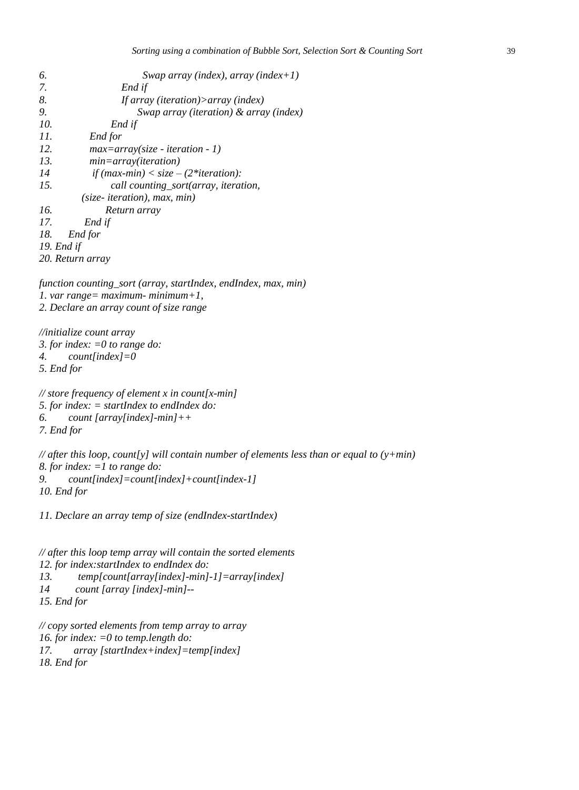| 6.               | Swap array (index), array (index+1)                                                                                                                |
|------------------|----------------------------------------------------------------------------------------------------------------------------------------------------|
| 7.               | End if                                                                                                                                             |
| 8.               | If array (iteration)> array (index)                                                                                                                |
| 9.               | Swap array (iteration) & array (index)                                                                                                             |
| 10.              | End if                                                                                                                                             |
| 11.              | End for                                                                                                                                            |
| 12.              | $max=array(size - iteration - 1)$                                                                                                                  |
| 13.              | $min = array(iteration)$                                                                                                                           |
| 14               | if $(max-min) < size - (2*iteration)$ :                                                                                                            |
| 15.              | call counting_sort(array, iteration,                                                                                                               |
|                  | $(size-iteration), max, min)$                                                                                                                      |
| 16.              | Return array                                                                                                                                       |
| 17.              | End if                                                                                                                                             |
| 18.              | End for                                                                                                                                            |
| 19. End if       |                                                                                                                                                    |
|                  | 20. Return array                                                                                                                                   |
|                  | function counting_sort (array, startIndex, endIndex, max, min)<br>1. var range = maximum - minimum + 1,<br>2. Declare an array count of size range |
| 4.<br>5. End for | //initialize count array<br>3. for index: $=0$ to range do:<br>$count/index]=0$                                                                    |
|                  | // store frequency of element x in count[x-min]                                                                                                    |

*5. for index: = startIndex to endIndex do: 6. count [array[index]-min]++ 7. End for* 

*// after this loop, count[y] will contain number of elements less than or equal to (y+min) 8. for index: =1 to range do: 9. count[index]=count[index]+count[index-1] 10. End for*

*11. Declare an array temp of size (endIndex-startIndex)*

```
// after this loop temp array will contain the sorted elements
12. for index:startIndex to endIndex do:
13. temp[count[array[index]-min]-1]=array[index]
14 count [array [index]-min]--
15. End for
```

```
// copy sorted elements from temp array to array
16. for index: =0 to temp.length do: 
17. array [startIndex+index]=temp[index]
18. End for
```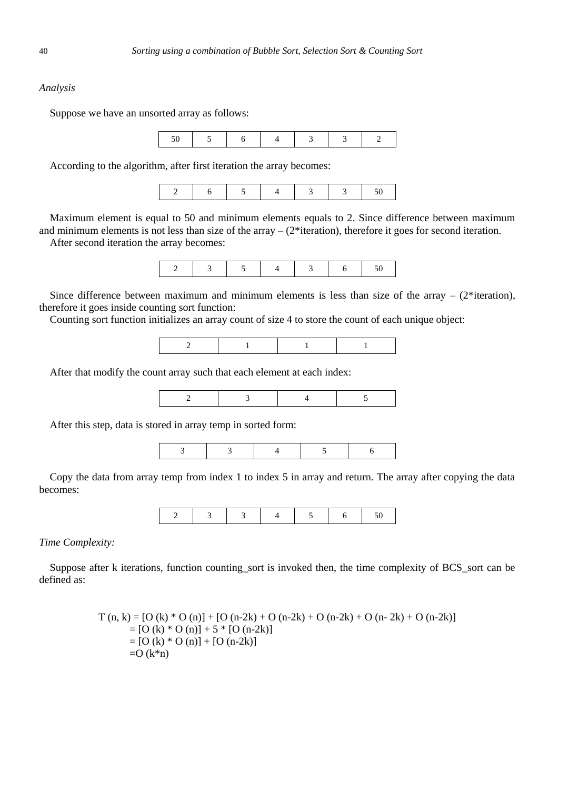Suppose we have an unsorted array as follows:



According to the algorithm, after first iteration the array becomes:

|--|--|

Maximum element is equal to 50 and minimum elements equals to 2. Since difference between maximum and minimum elements is not less than size of the array  $-$  ( $2^*$ iteration), therefore it goes for second iteration. After second iteration the array becomes:

Since difference between maximum and minimum elements is less than size of the array  $-$  (2\*iteration), therefore it goes inside counting sort function:

Counting sort function initializes an array count of size 4 to store the count of each unique object:

|--|

After that modify the count array such that each element at each index:

After this step, data is stored in array temp in sorted form:



Copy the data from array temp from index 1 to index 5 in array and return. The array after copying the data becomes:



*Time Complexity:*

Suppose after k iterations, function counting\_sort is invoked then, the time complexity of BCS\_sort can be defined as:

$$
T (n, k) = [O (k) * O (n)] + [O (n-2k) + O (n-2k) + O (n-2k) + O (n-2k) + O (n-2k)]
$$
  
= [O (k) \* O (n)] + 5 \* [O (n-2k)]  
= [O (k) \* O (n)] + [O (n-2k)]  
= O (k\*n)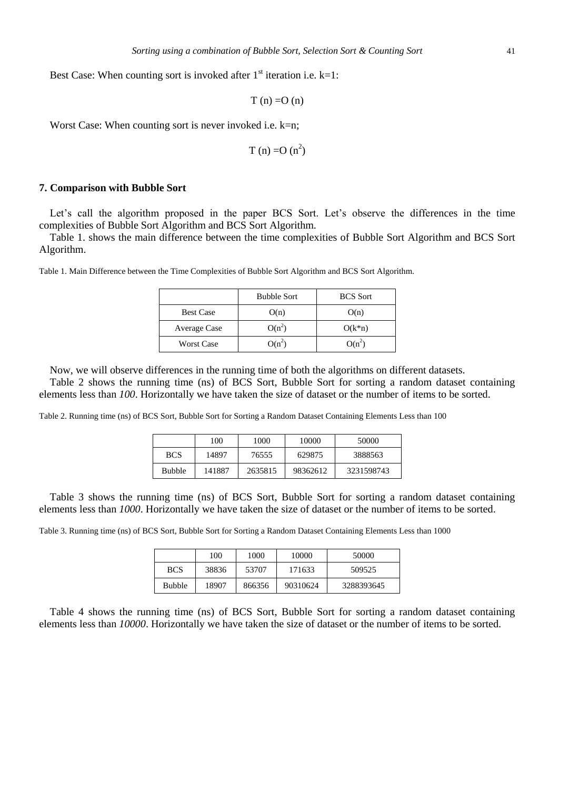Best Case: When counting sort is invoked after  $1<sup>st</sup>$  iteration i.e. k=1:

$$
T\left( n\right) =O\left( n\right)
$$

Worst Case: When counting sort is never invoked i.e. k=n;

$$
T(n) = O(n^2)
$$

#### **7. Comparison with Bubble Sort**

Let's call the algorithm proposed in the paper BCS Sort. Let's observe the differences in the time complexities of Bubble Sort Algorithm and BCS Sort Algorithm.

Table 1. shows the main difference between the time complexities of Bubble Sort Algorithm and BCS Sort Algorithm.

Table 1. Main Difference between the Time Complexities of Bubble Sort Algorithm and BCS Sort Algorithm.

|                   | <b>Bubble Sort</b> | <b>BCS</b> Sort |
|-------------------|--------------------|-----------------|
| <b>Best Case</b>  | O(n)               | O(n)            |
| Average Case      | $O(n^2)$           | $O(k*n)$        |
| <b>Worst Case</b> | $O(n^2)$           | $O(n^2)$        |

Now, we will observe differences in the running time of both the algorithms on different datasets.

Table 2 shows the running time (ns) of BCS Sort, Bubble Sort for sorting a random dataset containing elements less than *100*. Horizontally we have taken the size of dataset or the number of items to be sorted.

Table 2. Running time (ns) of BCS Sort, Bubble Sort for Sorting a Random Dataset Containing Elements Less than 100

|               | 100    | 1000    | 10000    | 50000      |
|---------------|--------|---------|----------|------------|
| <b>BCS</b>    | 14897  | 76555   | 629875   | 3888563    |
| <b>Bubble</b> | 141887 | 2635815 | 98362612 | 3231598743 |

Table 3 shows the running time (ns) of BCS Sort, Bubble Sort for sorting a random dataset containing elements less than *1000*. Horizontally we have taken the size of dataset or the number of items to be sorted.

Table 3. Running time (ns) of BCS Sort, Bubble Sort for Sorting a Random Dataset Containing Elements Less than 1000

|               | 100   | 1000   | 10000    | 50000      |
|---------------|-------|--------|----------|------------|
| <b>BCS</b>    | 38836 | 53707  | 171633   | 509525     |
| <b>Bubble</b> | 18907 | 866356 | 90310624 | 3288393645 |

Table 4 shows the running time (ns) of BCS Sort, Bubble Sort for sorting a random dataset containing elements less than *10000*. Horizontally we have taken the size of dataset or the number of items to be sorted.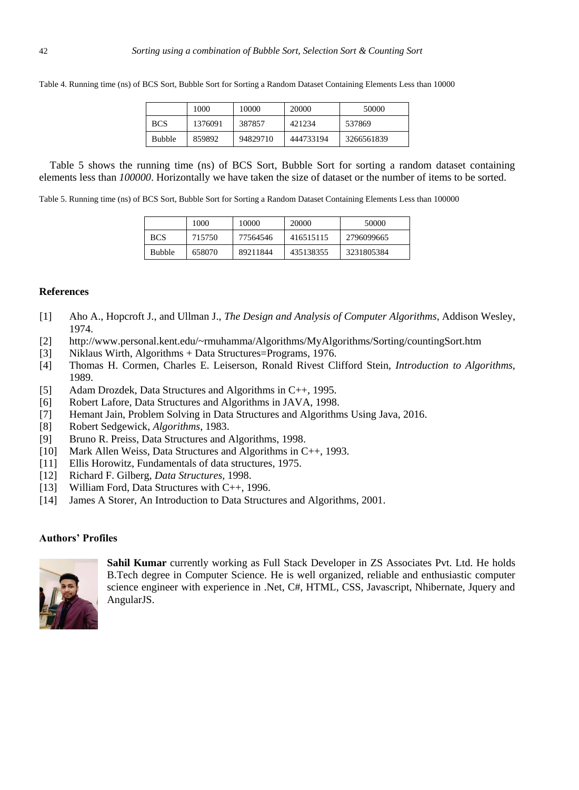|               | 1000    | 10000    | 20000     | 50000      |
|---------------|---------|----------|-----------|------------|
| <b>BCS</b>    | 1376091 | 387857   | 421234    | 537869     |
| <b>Bubble</b> | 859892  | 94829710 | 444733194 | 3266561839 |

Table 4. Running time (ns) of BCS Sort, Bubble Sort for Sorting a Random Dataset Containing Elements Less than 10000

Table 5 shows the running time (ns) of BCS Sort, Bubble Sort for sorting a random dataset containing elements less than *100000*. Horizontally we have taken the size of dataset or the number of items to be sorted.

Table 5. Running time (ns) of BCS Sort, Bubble Sort for Sorting a Random Dataset Containing Elements Less than 100000

|               | 1000   | 10000    | 20000     | 50000      |
|---------------|--------|----------|-----------|------------|
| <b>BCS</b>    | 715750 | 77564546 | 416515115 | 2796099665 |
| <b>Bubble</b> | 658070 | 89211844 | 435138355 | 3231805384 |

#### **References**

- [1] Aho A., Hopcroft J., and Ullman J., *The Design and Analysis of Computer Algorithms*, Addison Wesley, 1974.
- [2] http://www.personal.kent.edu/~rmuhamma/Algorithms/MyAlgorithms/Sorting/countingSort.htm
- [3] Niklaus Wirth, Algorithms + Data Structures=Programs, 1976.
- [4] Thomas H. Cormen, Charles E. Leiserson, Ronald Rivest Clifford Stein, *Introduction to Algorithms,* 1989.
- [5] Adam Drozdek, Data Structures and Algorithms in C++, 1995.
- [6] Robert Lafore, Data Structures and Algorithms in JAVA, 1998.
- [7] Hemant Jain, Problem Solving in Data Structures and Algorithms Using Java, 2016.
- [8] Robert Sedgewick, *Algorithms*, 1983.
- [9] Bruno R. Preiss, Data Structures and Algorithms, 1998.
- [10] Mark Allen Weiss, Data Structures and Algorithms in C++, 1993.
- [11] Ellis Horowitz, Fundamentals of data structures, 1975.
- [12] Richard F. Gilberg, *Data Structures,* 1998.
- [13] William Ford, Data Structures with C++, 1996.
- [14] James A Storer, An Introduction to Data Structures and Algorithms, 2001.

# **Authors' Profiles**



**Sahil Kumar** currently working as Full Stack Developer in ZS Associates Pvt. Ltd. He holds B.Tech degree in Computer Science. He is well organized, reliable and enthusiastic computer science engineer with experience in .Net, C#, HTML, CSS, Javascript, Nhibernate, Jquery and AngularJS.